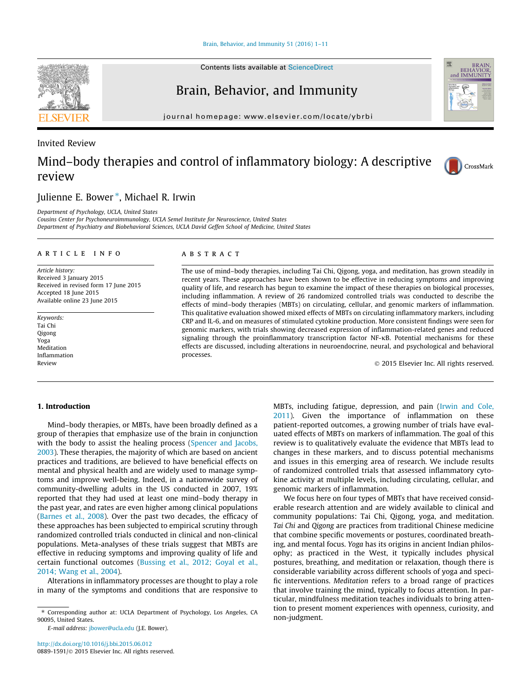Contents lists available at ScienceDirect

## Brain, Behavior, and Immunity

journal homepage: www.elsevier.com/locate/ybrbi

# Mind–body therapies and control of inflammatory biology: A descriptive review

### Julienne E. Bower \*, Michael R. Irwin

Department of Psychology, UCLA, United States

Cousins Center for Psychoneuroimmunology, UCLA Semel Institute for Neuroscience, United States Department of Psychiatry and Biobehavioral Sciences, UCLA David Geffen School of Medicine, United States

#### article info

Article history: Received 3 January 2015 Received in revised form 17 June 2015 Accepted 18 June 2015 Available online 23 June 2015

Keywords: Tai Chi Qigong Yoga Meditation Inflammation Review

#### **ABSTRACT**

The use of mind–body therapies, including Tai Chi, Qigong, yoga, and meditation, has grown steadily in recent years. These approaches have been shown to be effective in reducing symptoms and improving quality of life, and research has begun to examine the impact of these therapies on biological processes, including inflammation. A review of 26 randomized controlled trials was conducted to describe the effects of mind–body therapies (MBTs) on circulating, cellular, and genomic markers of inflammation. This qualitative evaluation showed mixed effects of MBTs on circulating inflammatory markers, including CRP and IL-6, and on measures of stimulated cytokine production. More consistent findings were seen for genomic markers, with trials showing decreased expression of inflammation-related genes and reduced signaling through the proinflammatory transcription factor NF-KB. Potential mechanisms for these effects are discussed, including alterations in neuroendocrine, neural, and psychological and behavioral processes.

- 2015 Elsevier Inc. All rights reserved.

#### 1. Introduction

Mind–body therapies, or MBTs, have been broadly defined as a group of therapies that emphasize use of the brain in conjunction with the body to assist the healing process (Spencer and Jacobs, 2003). These therapies, the majority of which are based on ancient practices and traditions, are believed to have beneficial effects on mental and physical health and are widely used to manage symptoms and improve well-being. Indeed, in a nationwide survey of community-dwelling adults in the US conducted in 2007, 19% reported that they had used at least one mind–body therapy in the past year, and rates are even higher among clinical populations (Barnes et al., 2008). Over the past two decades, the efficacy of these approaches has been subjected to empirical scrutiny through randomized controlled trials conducted in clinical and non-clinical populations. Meta-analyses of these trials suggest that MBTs are effective in reducing symptoms and improving quality of life and certain functional outcomes (Bussing et al., 2012; Goyal et al., 2014; Wang et al., 2004).

Alterations in inflammatory processes are thought to play a role in many of the symptoms and conditions that are responsive to

E-mail address: jbower@ucla.edu (J.E. Bower).

MBTs, including fatigue, depression, and pain (Irwin and Cole, 2011). Given the importance of inflammation on these patient-reported outcomes, a growing number of trials have evaluated effects of MBTs on markers of inflammation. The goal of this review is to qualitatively evaluate the evidence that MBTs lead to changes in these markers, and to discuss potential mechanisms and issues in this emerging area of research. We include results of randomized controlled trials that assessed inflammatory cytokine activity at multiple levels, including circulating, cellular, and genomic markers of inflammation. We focus here on four types of MBTs that have received consid-

erable research attention and are widely available to clinical and community populations: Tai Chi, Qigong, yoga, and meditation. Tai Chi and Qigong are practices from traditional Chinese medicine that combine specific movements or postures, coordinated breathing, and mental focus. Yoga has its origins in ancient Indian philosophy; as practiced in the West, it typically includes physical postures, breathing, and meditation or relaxation, though there is considerable variability across different schools of yoga and specific interventions. Meditation refers to a broad range of practices that involve training the mind, typically to focus attention. In particular, mindfulness meditation teaches individuals to bring attention to present moment experiences with openness, curiosity, and non-judgment.



Invited Review





<sup>⇑</sup> Corresponding author at: UCLA Department of Psychology, Los Angeles, CA 90095, United States.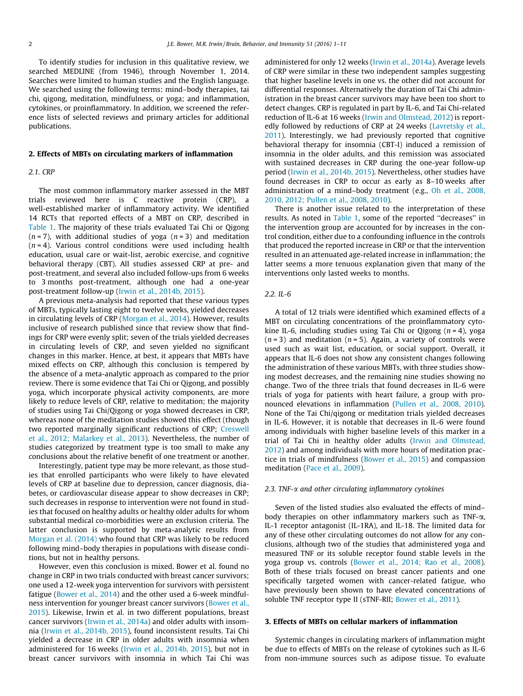To identify studies for inclusion in this qualitative review, we searched MEDLINE (from 1946), through November 1, 2014. Searches were limited to human studies and the English language. We searched using the following terms: mind–body therapies, tai chi, qigong, meditation, mindfulness, or yoga; and inflammation, cytokines, or proinflammatory. In addition, we screened the reference lists of selected reviews and primary articles for additional publications.

#### 2. Effects of MBTs on circulating markers of inflammation

#### 2.1. CRP

The most common inflammatory marker assessed in the MBT trials reviewed here is C reactive protein (CRP), a well-established marker of inflammatory activity. We identified 14 RCTs that reported effects of a MBT on CRP, described in Table 1. The majority of these trials evaluated Tai Chi or Qigong  $(n = 7)$ , with additional studies of yoga  $(n = 3)$  and meditation  $(n = 4)$ . Various control conditions were used including health education, usual care or wait-list, aerobic exercise, and cognitive behavioral therapy (CBT). All studies assessed CRP at pre- and post-treatment, and several also included follow-ups from 6 weeks to 3 months post-treatment, although one had a one-year post-treatment follow-up (Irwin et al., 2014b, 2015).

A previous meta-analysis had reported that these various types of MBTs, typically lasting eight to twelve weeks, yielded decreases in circulating levels of CRP (Morgan et al., 2014). However, results inclusive of research published since that review show that findings for CRP were evenly split; seven of the trials yielded decreases in circulating levels of CRP, and seven yielded no significant changes in this marker. Hence, at best, it appears that MBTs have mixed effects on CRP, although this conclusion is tempered by the absence of a meta-analytic approach as compared to the prior review. There is some evidence that Tai Chi or Qigong, and possibly yoga, which incorporate physical activity components, are more likely to reduce levels of CRP, relative to meditation; the majority of studies using Tai Chi/Qigong or yoga showed decreases in CRP, whereas none of the meditation studies showed this effect (though two reported marginally significant reductions of CRP; Creswell et al., 2012; Malarkey et al., 2013). Nevertheless, the number of studies categorized by treatment type is too small to make any conclusions about the relative benefit of one treatment or another.

Interestingly, patient type may be more relevant, as those studies that enrolled participants who were likely to have elevated levels of CRP at baseline due to depression, cancer diagnosis, diabetes, or cardiovascular disease appear to show decreases in CRP; such decreases in response to intervention were not found in studies that focused on healthy adults or healthy older adults for whom substantial medical co-morbidities were an exclusion criteria. The latter conclusion is supported by meta-analytic results from Morgan et al. (2014) who found that CRP was likely to be reduced following mind–body therapies in populations with disease conditions, but not in healthy persons.

However, even this conclusion is mixed. Bower et al. found no change in CRP in two trials conducted with breast cancer survivors; one used a 12-week yoga intervention for survivors with persistent fatigue (Bower et al., 2014) and the other used a 6-week mindfulness intervention for younger breast cancer survivors (Bower et al., 2015). Likewise, Irwin et al. in two different populations, breast cancer survivors (Irwin et al., 2014a) and older adults with insomnia (Irwin et al., 2014b, 2015), found inconsistent results. Tai Chi yielded a decrease in CRP in older adults with insomnia when administered for 16 weeks (Irwin et al., 2014b, 2015), but not in breast cancer survivors with insomnia in which Tai Chi was administered for only 12 weeks (Irwin et al., 2014a). Average levels of CRP were similar in these two independent samples suggesting that higher baseline levels in one vs. the other did not account for differential responses. Alternatively the duration of Tai Chi administration in the breast cancer survivors may have been too short to detect changes. CRP is regulated in part by IL-6, and Tai Chi-related reduction of IL-6 at 16 weeks (Irwin and Olmstead, 2012) is reportedly followed by reductions of CRP at 24 weeks (Lavretsky et al., 2011). Interestingly, we had previously reported that cognitive behavioral therapy for insomnia (CBT-I) induced a remission of insomnia in the older adults, and this remission was associated with sustained decreases in CRP during the one-year follow-up period (Irwin et al., 2014b, 2015). Nevertheless, other studies have found decreases in CRP to occur as early as 8–10 weeks after administration of a mind–body treatment (e.g., Oh et al., 2008, 2010, 2012; Pullen et al., 2008, 2010).

There is another issue related to the interpretation of these results. As noted in Table 1, some of the reported ''decreases'' in the intervention group are accounted for by increases in the control condition, either due to a confounding influence in the controls that produced the reported increase in CRP or that the intervention resulted in an attenuated age-related increase in inflammation; the latter seems a more tenuous explanation given that many of the interventions only lasted weeks to months.

#### 2.2. IL-6

A total of 12 trials were identified which examined effects of a MBT on circulating concentrations of the proinflammatory cytokine IL-6, including studies using Tai Chi or Qigong  $(n = 4)$ , yoga  $(n = 3)$  and meditation  $(n = 5)$ . Again, a variety of controls were used such as wait list, education, or social support. Overall, it appears that IL-6 does not show any consistent changes following the administration of these various MBTs, with three studies showing modest decreases, and the remaining nine studies showing no change. Two of the three trials that found decreases in IL-6 were trials of yoga for patients with heart failure, a group with pronounced elevations in inflammation (Pullen et al., 2008, 2010). None of the Tai Chi/qigong or meditation trials yielded decreases in IL-6. However, it is notable that decreases in IL-6 were found among individuals with higher baseline levels of this marker in a trial of Tai Chi in healthy older adults (Irwin and Olmstead, 2012) and among individuals with more hours of meditation practice in trials of mindfulness (Bower et al., 2015) and compassion meditation (Pace et al., 2009).

#### 2.3. TNF- $\alpha$  and other circulating inflammatory cytokines

Seven of the listed studies also evaluated the effects of mind– body therapies on other inflammatory markers such as TNF-a, IL-1 receptor antagonist (IL-1RA), and IL-18. The limited data for any of these other circulating outcomes do not allow for any conclusions, although two of the studies that administered yoga and measured TNF or its soluble receptor found stable levels in the yoga group vs. controls (Bower et al., 2014; Rao et al., 2008). Both of these trials focused on breast cancer patients and one specifically targeted women with cancer-related fatigue, who have previously been shown to have elevated concentrations of soluble TNF receptor type II (sTNF-RII; Bower et al., 2011).

#### 3. Effects of MBTs on cellular markers of inflammation

Systemic changes in circulating markers of inflammation might be due to effects of MBTs on the release of cytokines such as IL-6 from non-immune sources such as adipose tissue. To evaluate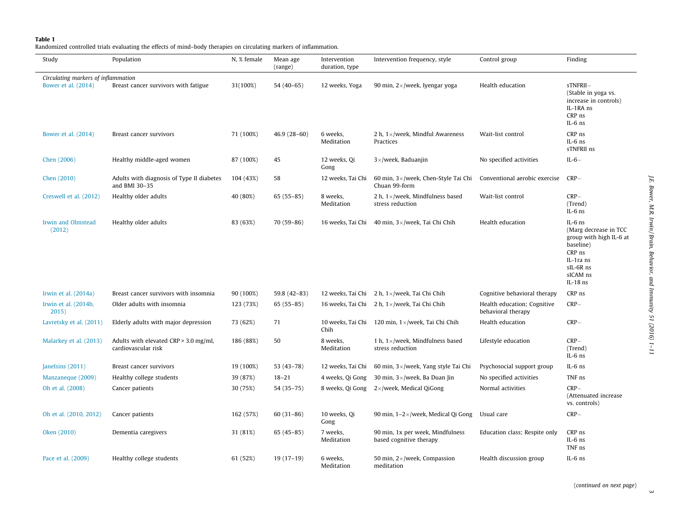#### Table 1

Randomized controlled trials evaluating the effects of mind–body therapies on circulating markers of inflammation.

| Study                                                      | Population                                                     | N, % female | Mean age<br>(range) | Intervention<br>duration, type | Intervention frequency, style                                | Control group                                     | Finding                                                                                                                                  |
|------------------------------------------------------------|----------------------------------------------------------------|-------------|---------------------|--------------------------------|--------------------------------------------------------------|---------------------------------------------------|------------------------------------------------------------------------------------------------------------------------------------------|
| Circulating markers of inflammation<br>Bower et al. (2014) | Breast cancer survivors with fatigue                           | 31(100%)    | $54(40-65)$         | 12 weeks, Yoga                 | 90 min, $2\times$ /week, Iyengar yoga                        | Health education                                  | sTNFRII-<br>(Stable in yoga vs.<br>increase in controls)<br>IL-1RA ns<br>CRP ns<br>IL-6 ns                                               |
| Bower et al. (2014)                                        | Breast cancer survivors                                        | 71 (100%)   | $46.9(28-60)$       | 6 weeks.<br>Meditation         | 2 h, $1 \times$ /week, Mindful Awareness<br>Practices        | Wait-list control                                 | CRP ns<br>$IL-6$ ns<br>sTNFRII ns                                                                                                        |
| <b>Chen</b> (2006)                                         | Healthy middle-aged women                                      | 87 (100%)   | 45                  | 12 weeks, Qi<br>Gong           | $3\times$ /week, Baduanjin                                   | No specified activities                           | $IL-6-$                                                                                                                                  |
| Chen (2010)                                                | Adults with diagnosis of Type II diabetes<br>and BMI 30-35     | 104 (43%)   | 58                  | 12 weeks, Tai Chi              | 60 min, $3\times$ /week, Chen-Style Tai Chi<br>Chuan 99-form | Conventional aerobic exercise                     | $CRP-$                                                                                                                                   |
| Creswell et al. (2012)                                     | Healthy older adults                                           | 40 (80%)    | $65(55-85)$         | 8 weeks,<br>Meditation         | 2 h, $1 \times$ /week, Mindfulness based<br>stress reduction | Wait-list control                                 | $CRP-$<br>(Trend)<br>$IL-6$ ns                                                                                                           |
| <b>Irwin and Olmstead</b><br>(2012)                        | Healthy older adults                                           | 83 (63%)    | $70(59-86)$         | 16 weeks, Tai Chi              | 40 min, $3 \times$ /week, Tai Chi Chih                       | Health education                                  | $IL-6$ ns<br>(Marg decrease in TCC<br>group with high IL-6 at<br>baseline)<br>CRP ns<br>IL-1ra ns<br>sIL-6R ns<br>sICAM ns<br>$IL-18$ ns |
| Irwin et al. $(2014a)$                                     | Breast cancer survivors with insomnia                          | 90 (100%)   | 59.8 (42-83)        |                                | 12 weeks, Tai Chi 2 h, $1 \times$ /week, Tai Chi Chih        | Cognitive behavioral therapy                      | CRP ns                                                                                                                                   |
| Irwin et al. (2014b,<br>2015)                              | Older adults with insomnia                                     | 123 (73%)   | $65(55-85)$         |                                | 16 weeks, Tai Chi $2 h$ , $1 \times$ /week, Tai Chi Chih     | Health education; Cognitive<br>behavioral therapy | $CRP-$                                                                                                                                   |
| Lavretsky et al. (2011)                                    | Elderly adults with major depression                           | 73 (62%)    | 71                  | Chih                           | 10 weeks, Tai Chi 120 min, $1 \times$ /week, Tai Chi Chih    | Health education                                  | $CRP-$                                                                                                                                   |
| Malarkey et al. (2013)                                     | Adults with elevated $CRP > 3.0$ mg/ml,<br>cardiovascular risk | 186 (88%)   | 50                  | 8 weeks.<br>Meditation         | 1 h, $1 \times$ /week, Mindfulness based<br>stress reduction | Lifestyle education                               | $CRP-$<br>(Trend)<br>$IL-6$ ns                                                                                                           |
| Janelsins (2011)                                           | Breast cancer survivors                                        | 19 (100%)   | 53 (43-78)          | 12 weeks, Tai Chi              | 60 min, $3\times$ /week, Yang style Tai Chi                  | Psychosocial support group                        | $IL-6$ ns                                                                                                                                |
| Manzaneque (2009)                                          | Healthy college students                                       | 39 (87%)    | $18 - 21$           | 4 weeks, Qi Gong               | 30 min, $3\times$ /week, Ba Duan Jin                         | No specified activities                           | TNF ns                                                                                                                                   |
| Oh et al. (2008)                                           | Cancer patients                                                | 30 (75%)    | $54(35-75)$         |                                | 8 weeks, Qi Gong 2×/week, Medical QiGong                     | Normal activities                                 | $CRP-$<br>(Attenuated increase<br>vs. controls)                                                                                          |
| Oh et al. (2010, 2012)                                     | Cancer patients                                                | 162 (57%)   | $60(31-86)$         | 10 weeks, Qi<br>Gong           | 90 min, $1-2\times$ /week, Medical Qi Gong Usual care        |                                                   | $CRP-$                                                                                                                                   |
| Oken (2010)                                                | Dementia caregivers                                            | 31 (81%)    | $65(45-85)$         | 7 weeks.<br>Meditation         | 90 min, 1x per week, Mindfulness<br>based cognitive therapy  | Education class; Respite only                     | CRP ns<br>$IL-6$ ns<br>TNF ns                                                                                                            |
| Pace et al. (2009)                                         | Healthy college students                                       | 61 (52%)    | $19(17-19)$         | 6 weeks.<br>Meditation         | 50 min, $2 \times$ /week, Compassion<br>meditation           | Health discussion group                           | $IL-6$ ns                                                                                                                                |

 $\omega$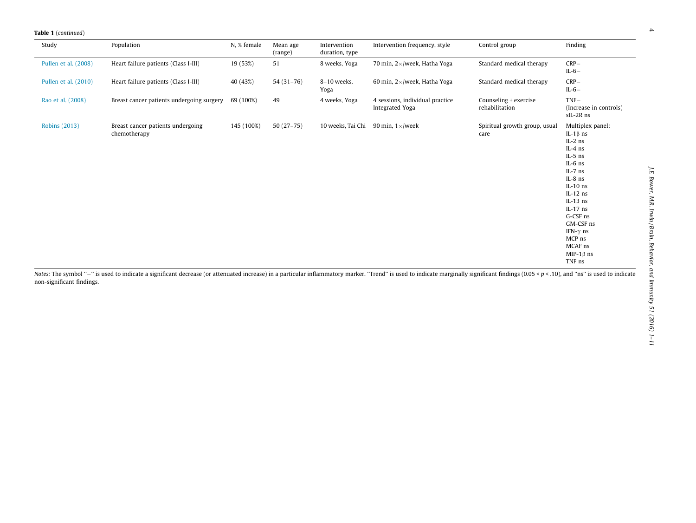|  | <b>Table 1</b> (continued) |  |
|--|----------------------------|--|
|  |                            |  |

| Study                | Population                                        | N, % female | Mean age<br>(range) | Intervention<br>duration, type | Intervention frequency, style                      | Control group                           | Finding                                                                                                                                                                                                                                                                  |
|----------------------|---------------------------------------------------|-------------|---------------------|--------------------------------|----------------------------------------------------|-----------------------------------------|--------------------------------------------------------------------------------------------------------------------------------------------------------------------------------------------------------------------------------------------------------------------------|
| Pullen et al. (2008) | Heart failure patients (Class I-III)              | 19 (53%)    | 51                  | 8 weeks, Yoga                  | 70 min, $2\times$ /week, Hatha Yoga                | Standard medical therapy                | $CRP-$<br>$IL-6-$                                                                                                                                                                                                                                                        |
| Pullen et al. (2010) | Heart failure patients (Class I-III)              | 40 (43%)    | $54(31-76)$         | 8-10 weeks,<br>Yoga            | 60 min, $2\times$ /week, Hatha Yoga                | Standard medical therapy                | $CRP-$<br>$IL-6-$                                                                                                                                                                                                                                                        |
| Rao et al. (2008)    | Breast cancer patients undergoing surgery         | 69 (100%)   | 49                  | 4 weeks, Yoga                  | 4 sessions, individual practice<br>Integrated Yoga | Counseling + exercise<br>rehabilitation | $TNF-$<br>(Increase in controls)<br>sIL-2R ns                                                                                                                                                                                                                            |
| <b>Robins (2013)</b> | Breast cancer patients undergoing<br>chemotherapy | 145 (100%)  | $50(27-75)$         | 10 weeks, Tai Chi              | 90 min, $1 \times$ /week                           | Spiritual growth group, usual<br>care   | Multiplex panel:<br>IL-1 $\beta$ ns<br>$IL-2$ ns<br>$IL-4$ ns<br>$IL-5$ ns<br>$IL-6$ ns<br>$IL-7$ ns<br>$IL-8$ ns<br>$IL-10$ ns<br>$IL-12$ ns<br>$IL-13$ ns<br>$IL-17$ ns<br>G-CSF ns<br>GM-CSF ns<br>IFN- $\gamma$ ns<br>MCP ns<br>MCAF ns<br>$MIP-1\beta$ ns<br>TNF ns |

Notes: The symbol "-" is used to indicate a significant decrease (or attenuated increase) in a particular inflammatory marker. "Trend" is used to indicate marginally significant findings (0.05 < p < .10), and "ns" is used non-significant findings.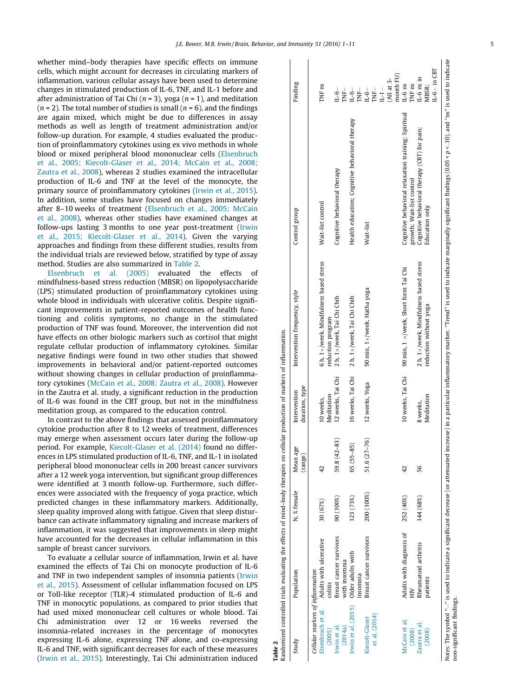whether mind–body therapies have specific effects on immune cells, which might account for decreases in circulating markers of inflammation, various cellular assays have been used to determine changes in stimulated production of IL-6, TNF, and IL-1 before and after administration of Tai Chi ( $n = 3$ ), yoga ( $n = 1$ ), and meditation  $(n = 2)$ . The total number of studies is small  $(n = 6)$ , and the findings are again mixed, which might be due to differences in assay methods as well as length of treatment administration and/or follow-up duration. For example, 4 studies evaluated the production of proinflammatory cytokines using ex vivo methods in whole blood or mixed peripheral blood mononuclear cells (Elsenbruch et al., 2005; Kiecolt-Glaser et al., 2014; McCain et al., 2008; Zautra et al., 2008), whereas 2 studies examined the intracellular production of IL-6 and TNF at the level of the monocyte, the primary source of proinflammatory cytokines (Irwin et al., 2015). In addition, some studies have focused on changes immediately after 8–10 weeks of treatment (Elsenbruch et al., 2005; McCain et al., 2008), whereas other studies have examined changes at follow-ups lasting 3 months to one year post-treatment (Irwin et al., 2015; Kiecolt-Glaser et al., 2014). Given the varying approaches and findings from these different studies, results from the individual trials are reviewed below, stratified by type of assay method. Studies are also summarized in Table 2.

Elsenbruch et al. (2005) evaluated the effects of mindfulness-based stress reduction (MBSR) on lipopolysaccharide (LPS) stimulated production of proinflammatory cytokines using whole blood in individuals with ulcerative colitis. Despite significant improvements in patient-reported outcomes of health functioning and colitis symptoms, no change in the stimulated production of TNF was found. Moreover, the intervention did not have effects on other biologic markers such as cortisol that might regulate cellular production of inflammatory cytokines. Similar negative findings were found in two other studies that showed improvements in behavioral and/or patient-reported outcomes without showing changes in cellular production of proinflammatory cytokines (McCain et al., 2008; Zautra et al., 2008). However in the Zautra et al. study, a significant reduction in the production of IL-6 was found in the CBT group, but not in the mindfulness meditation group, as compared to the education control.

In contrast to the above findings that assessed proinflammatory cytokine production after 8 to 12 weeks of treatment, differences may emerge when assessment occurs later during the follow-up period. For example, Kiecolt-Glaser et al. (2014) found no differences in LPS stimulated production of IL-6, TNF, and IL-1 in isolated peripheral blood mononuclear cells in 200 breast cancer survivors after a 12 week yoga intervention, but significant group differences were identified at 3 month follow-up. Furthermore, such differences were associated with the frequency of yoga practice, which predicted changes in these inflammatory markers. Additionally, sleep quality improved along with fatigue. Given that sleep disturbance can activate inflammatory signaling and increase markers of inflammation, it was suggested that improvements in sleep might have accounted for the decreases in cellular inflammation in this sample of breast cancer survivors.

To evaluate a cellular source of inflammation, Irwin et al. have examined the effects of Tai Chi on monocyte production of IL-6 and TNF in two independent samples of insomnia patients (Irwin et al., 2015). Assessment of cellular inflammation focused on LPS or Toll-like receptor (TLR)-4 stimulated production of IL-6 and TNF in monocytic populations, as compared to prior studies that had used mixed mononuclear cell cultures or whole blood. Tai Chi administration over 12 or 16 weeks reversed the insomnia-related increases in the percentage of monocytes expressing IL-6 alone, expressing TNF alone, and co-expressing IL-6 and TNF, with significant decreases for each of these measures (Irwin et al., 2015). Interestingly, Tai Chi administration induced

| Study                            | Population                               | N, % female | Mean age<br>(range) | duration, type<br>Intervention | Intervention frequency, style           | Control group                                       | Finding                                      |
|----------------------------------|------------------------------------------|-------------|---------------------|--------------------------------|-----------------------------------------|-----------------------------------------------------|----------------------------------------------|
| Cellular markers of inflammation |                                          |             |                     |                                |                                         |                                                     |                                              |
| Elsenbruch et al.                | Adults with ulcerative                   | 30 (67%)    | $\overline{4}$      | 10 weeks,                      | 6 h, 1 x/week, Mindfulness based stress | Wait-list control                                   | TNF ns                                       |
| (2005)                           | colitis                                  |             |                     | Meditation                     | reduction program                       |                                                     |                                              |
| (2014a)<br>Irwin et al.          | Breast cancer survivors<br>with insomnia | 90 (100%)   | 59.8 (42-83)        | 12 weeks, Tai Chi              | 2h, 1×/week, Tai Chi Chih               | Cognitive behavioral therapy                        | $11 - 6 -$<br>–<br>FNF                       |
| Irwin et al. (2015)              | Older adults with<br>insomnia            | 123 (73%)   | (35)<br>$65(55-$    | 16 weeks, Tai Chi              | 2 h, 1 × /week, Tai Chi Chih            | Health education; Cognitive behavioral therapy      | $TNF-$<br>$L-6-$                             |
| Kiecolt-Glaser                   | Breast cancer survivors                  | 200 (100%)  | $51.6(27 - 76)$     | 12 weeks, Yoga                 | 90 min, 1×/week, Hatha yoga             | Wait-list                                           | $L$ -6–                                      |
| et al. (2014)                    |                                          |             |                     |                                |                                         |                                                     | $\ensuremath{\mathsf{T}\mathsf{NF}}\xspace-$ |
|                                  |                                          |             |                     |                                |                                         |                                                     | $L1-$                                        |
|                                  |                                          |             |                     |                                |                                         |                                                     | $($ All at 3-                                |
|                                  |                                          |             |                     |                                |                                         |                                                     | month FU)                                    |
| McCain et al.                    | Adults with diagnosis of                 | 252 (40%)   | $\overline{42}$     | 10 weeks, Tai Chi              | 90 min, 1 x/week, Short form Tai Chi    | Cognitive behavioral relaxation training; Spiritual | $1L-6$ ns                                    |
| (2008)                           |                                          |             |                     |                                |                                         | growth; Wait-list control                           | <b>NF</b> ns                                 |
| Zautra et al                     | Rheumatoid arthritis                     | 144 (68%)   | 56                  | 8 weeks,                       | 2 h, 1 x/week, Mindfulness based stress | Cognitive behavioral therapy (CBT) for pain;        | $L-6$ ns in                                  |
| (2008)                           | patients                                 |             |                     | Meditation                     | reduction without yoga                  | Education only                                      | MBSR;                                        |
|                                  |                                          |             |                     |                                |                                         |                                                     | $L-6-$ in CBT                                |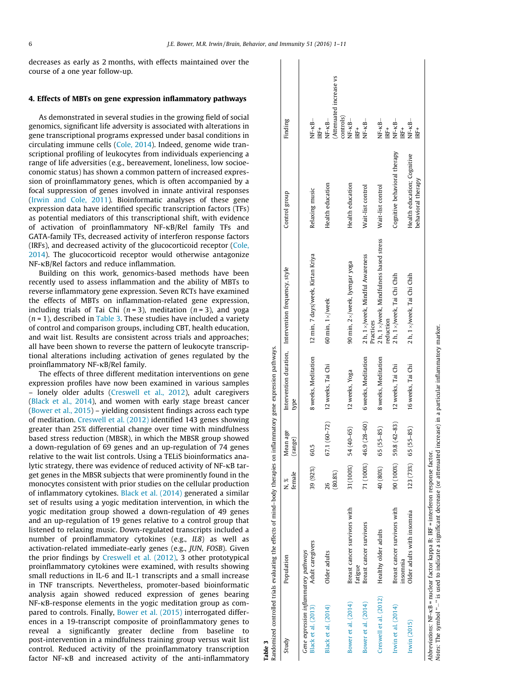decreases as early as 2 months, with effects maintained over the course of a one year follow-up.

#### 4. Effects of MBTs on gene expression inflammatory pathways

As demonstrated in several studies in the growing field of social genomics, significant life adversity is associated with alterations in gene transcriptional programs expressed under basal conditions in circulating immune cells (Cole, 2014). Indeed, genome wide transcriptional profiling of leukocytes from individuals experiencing a range of life adversities (e.g., bereavement, loneliness, low socioeconomic status) has shown a common pattern of increased expression of proinflammatory genes, which is often accompanied by a focal suppression of genes involved in innate antiviral responses (Irwin and Cole, 2011). Bioinformatic analyses of these gene expression data have identified specific transcription factors (TFs) as potential mediators of this transcriptional shift, with evidence of activation of proinflammatory NF-KB/Rel family TFs and GATA-family TFs, decreased activity of interferon response factors (IRFs), and decreased activity of the glucocorticoid receptor (Cole, 2014). The glucocorticoid receptor would otherwise antagonize  $NF$ - $KB/Rel$  factors and reduce inflammation.

Building on this work, genomics-based methods have been recently used to assess inflammation and the ability of MBTs to reverse inflammatory gene expression. Seven RCTs have examined the effects of MBTs on inflammation-related gene expression, including trials of Tai Chi  $(n=3)$ , meditation  $(n=3)$ , and yoga  $(n = 1)$ , described in Table 3. These studies have included a variety of control and comparison groups, including CBT, health education, and wait list. Results are consistent across trials and approaches; all have been shown to reverse the pattern of leukocyte transcriptional alterations including activation of genes regulated by the proinflammatory NF-<sub>KB</sub>/Rel family.

The effects of three different meditation interventions on gene expression profiles have now been examined in various samples – lonely older adults (Creswell et al., 2012), adult caregivers (Black et al., 2014), and women with early stage breast cancer (Bower et al., 2015) – yielding consistent findings across each type of meditation. Creswell et al. (2012) identified 143 genes showing greater than 25% differential change over time with mindfulness based stress reduction (MBSR), in which the MBSR group showed a down-regulation of 69 genes and an up-regulation of 74 genes relative to the wait list controls. Using a TELiS bioinformatics analytic strategy, there was evidence of reduced activity of  $NF$ - $\kappa$ B target genes in the MBSR subjects that were prominently found in the monocytes consistent with prior studies on the cellular production of inflammatory cytokines. Black et al. (2014) generated a similar set of results using a yogic meditation intervention, in which the yogic meditation group showed a down-regulation of 49 genes and an up-regulation of 19 genes relative to a control group that listened to relaxing music. Down-regulated transcripts included a number of proinflammatory cytokines (e.g., IL8) as well as activation-related immediate-early genes (e.g., JUN, FOSB). Given the prior findings by Creswell et al. (2012), 3 other prototypical proinflammatory cytokines were examined, with results showing small reductions in IL-6 and IL-1 transcripts and a small increase in TNF transcripts. Nevertheless, promoter-based bioinformatic analysis again showed reduced expression of genes bearing  $NF$ - $KB$ -response elements in the yogic meditation group as compared to controls. Finally, Bower et al. (2015) interrogated differences in a 19-transcript composite of proinflammatory genes to reveal a significantly greater decline from baseline to post-intervention in a mindfulness training group versus wait list control. Reduced activity of the proinflammatory transcription factor  $NF-\kappa B$  and increased activity of the anti-inflammatory

| i                                 |
|-----------------------------------|
|                                   |
|                                   |
|                                   |
|                                   |
|                                   |
|                                   |
|                                   |
|                                   |
|                                   |
|                                   |
|                                   |
| ֖֖֖֖֖֖֪ׅ֪ׅ֖֚֚֚֚֚֚֚֚֚֚֚֚֚֚֚֚֚֬֝֝֝֝ |
|                                   |
|                                   |
|                                   |
|                                   |
|                                   |
| l                                 |
|                                   |
|                                   |
|                                   |
|                                   |
|                                   |
|                                   |
|                                   |
|                                   |
|                                   |
| J                                 |
| Í<br>j                            |
| Ī                                 |
|                                   |
| i                                 |
| ĺ                                 |
|                                   |
|                                   |
|                                   |
|                                   |
|                                   |
|                                   |
|                                   |
| j                                 |
|                                   |
|                                   |
|                                   |
|                                   |
| ۱                                 |
|                                   |
|                                   |
| ׇ֚֘֡                              |
|                                   |
|                                   |
|                                   |
|                                   |
|                                   |
|                                   |
| ľ                                 |
|                                   |
| j                                 |
| ı                                 |

Table 3

| Finding                                              | $NF$ - $kB$ -<br>IRF+                                        | (Attenuated increase vs<br>controls)<br>$NF - KB -$ | $NF$ - $KB$ -<br>IRF+                   | $NF - KB -$                                    | $NF$ - $kB$ -<br>IRF+                                        | $NF$ - $KB$ -<br>庄<br>区                  | $NF$ - $KB$ -<br>IRF+                             |                                                                                                                                                                                                                   |
|------------------------------------------------------|--------------------------------------------------------------|-----------------------------------------------------|-----------------------------------------|------------------------------------------------|--------------------------------------------------------------|------------------------------------------|---------------------------------------------------|-------------------------------------------------------------------------------------------------------------------------------------------------------------------------------------------------------------------|
| Control group                                        | Relaxing music                                               | Health education                                    | Health education                        | Wait-list control                              | Wait-list control                                            | Cognitive behavioral therapy             | Health education; Cognitive<br>behavioral therapy |                                                                                                                                                                                                                   |
| Intervention duration, Intervention frequency, style | 12 min, 7 days/week, Kirtan Kriya                            | 60 min, $1 \times$ /week                            | 90 min, 2 ×/week, Iyengar yoga          | 2 h, 1 × /week, Mindful Awareness<br>Practices | 2 h, $1 \times$ /week, Mindfulness based stress<br>reduction | 2 h, 1 x /week, Tai Chi Chih             | 2 h, 1 x /week, Tai Chi Chih                      |                                                                                                                                                                                                                   |
| type                                                 | 8 weeks, Meditation                                          | 12 weeks, Tai Chi                                   | 12 weeks, Yoga                          | 6 weeks, Meditation                            | 8 weeks, Meditation                                          | 12 weeks, Tai Chi                        | 16 weeks, Tai Chi                                 |                                                                                                                                                                                                                   |
| Mean age<br>range)                                   | 60.5                                                         | 67.1 (60-72)                                        | 54 (40-65)                              | 46.9 (28-60)                                   | $65(55-85)$                                                  | 59.8 (42-83)                             | 65 (55-85)                                        |                                                                                                                                                                                                                   |
| female<br>≫<br>Z                                     | 39 (92%)                                                     | $(80.8\%)$<br>26                                    | 31(100%)                                | 71 (100%)                                      | 40 (80%)                                                     | 90 (100%)                                | 123 (73%)                                         |                                                                                                                                                                                                                   |
| Population                                           | Adult caregivers                                             | Older adults                                        | Breast cancer survivors with<br>fatigue | Breast cancer survivors                        | Healthy older adults                                         | Breast cancer survivors with<br>insomnia | Older adults with insomnia                        | Notes: The symbol "-" is used to indicate a significant decrease (or attenuated increase) in a particular inflammatory marker.<br>Abbreviations: NF-KB = nuclear factor kappa B; IRF = interferon response factor |
| Study                                                | Gene expression inflammatory pathways<br>Black et al. (2013) | Black et al. (2014)                                 | Bower et al. (2014)                     | Bower et al. (2014)                            | Creswell et al. (2012)                                       | Irwin et al. (2014)                      | Irwin (2015)                                      |                                                                                                                                                                                                                   |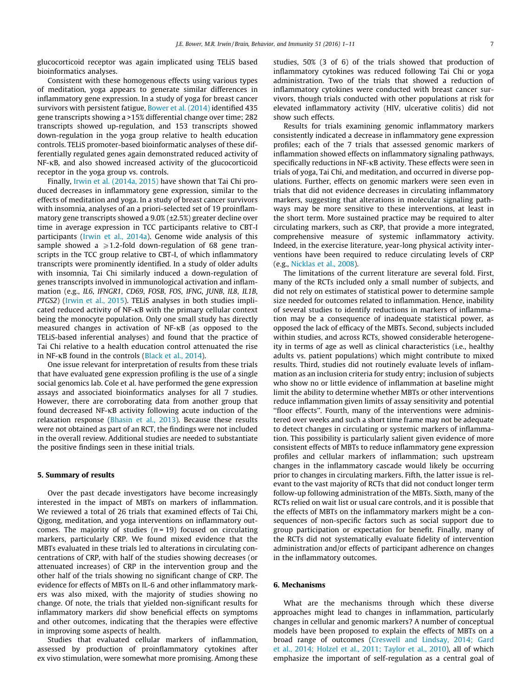glucocorticoid receptor was again implicated using TELiS based bioinformatics analyses.

Consistent with these homogenous effects using various types of meditation, yoga appears to generate similar differences in inflammatory gene expression. In a study of yoga for breast cancer survivors with persistent fatigue, Bower et al. (2014) identified 435 gene transcripts showing a >15% differential change over time; 282 transcripts showed up-regulation, and 153 transcripts showed down-regulation in the yoga group relative to health education controls. TELiS promoter-based bioinformatic analyses of these differentially regulated genes again demonstrated reduced activity of NF-KB, and also showed increased activity of the glucocorticoid receptor in the yoga group vs. controls.

Finally, Irwin et al. (2014a, 2015) have shown that Tai Chi produced decreases in inflammatory gene expression, similar to the effects of meditation and yoga. In a study of breast cancer survivors with insomnia, analyses of an a priori-selected set of 19 proinflammatory gene transcripts showed a 9.0% (±2.5%) greater decline over time in average expression in TCC participants relative to CBT-I participants (Irwin et al., 2014a). Genome wide analysis of this sample showed a  $\geq 1.2$ -fold down-regulation of 68 gene transcripts in the TCC group relative to CBT-I, of which inflammatory transcripts were prominently identified. In a study of older adults with insomnia, Tai Chi similarly induced a down-regulation of genes transcripts involved in immunological activation and inflammation (e.g., IL6, IFNGR1, CD69, FOSB, FOS, IFNG, JUNB, IL8, IL1B, PTGS2) (Irwin et al., 2015). TELiS analyses in both studies implicated reduced activity of  $NF$ - $\kappa$ B with the primary cellular context being the monocyte population. Only one small study has directly measured changes in activation of  $NF$ - $\kappa$ B (as opposed to the TELiS-based inferential analyses) and found that the practice of Tai Chi relative to a health education control attenuated the rise in NF- $\kappa$ B found in the controls (Black et al., 2014).

One issue relevant for interpretation of results from these trials that have evaluated gene expression profiling is the use of a single social genomics lab. Cole et al. have performed the gene expression assays and associated bioinformatics analyses for all 7 studies. However, there are corroborating data from another group that found decreased  $NF$ - $\kappa$ B activity following acute induction of the relaxation response (Bhasin et al., 2013). Because these results were not obtained as part of an RCT, the findings were not included in the overall review. Additional studies are needed to substantiate the positive findings seen in these initial trials.

#### 5. Summary of results

Over the past decade investigators have become increasingly interested in the impact of MBTs on markers of inflammation. We reviewed a total of 26 trials that examined effects of Tai Chi, Qigong, meditation, and yoga interventions on inflammatory outcomes. The majority of studies  $(n = 19)$  focused on circulating markers, particularly CRP. We found mixed evidence that the MBTs evaluated in these trials led to alterations in circulating concentrations of CRP, with half of the studies showing decreases (or attenuated increases) of CRP in the intervention group and the other half of the trials showing no significant change of CRP. The evidence for effects of MBTs on IL-6 and other inflammatory markers was also mixed, with the majority of studies showing no change. Of note, the trials that yielded non-significant results for inflammatory markers did show beneficial effects on symptoms and other outcomes, indicating that the therapies were effective in improving some aspects of health.

Studies that evaluated cellular markers of inflammation, assessed by production of proinflammatory cytokines after ex vivo stimulation, were somewhat more promising. Among these studies, 50% (3 of 6) of the trials showed that production of inflammatory cytokines was reduced following Tai Chi or yoga administration. Two of the trials that showed a reduction of inflammatory cytokines were conducted with breast cancer survivors, though trials conducted with other populations at risk for elevated inflammatory activity (HIV, ulcerative colitis) did not show such effects.

Results for trials examining genomic inflammatory markers consistently indicated a decrease in inflammatory gene expression profiles; each of the 7 trials that assessed genomic markers of inflammation showed effects on inflammatory signaling pathways, specifically reductions in NF-KB activity. These effects were seen in trials of yoga, Tai Chi, and meditation, and occurred in diverse populations. Further, effects on genomic markers were seen even in trials that did not evidence decreases in circulating inflammatory markers, suggesting that alterations in molecular signaling pathways may be more sensitive to these interventions, at least in the short term. More sustained practice may be required to alter circulating markers, such as CRP, that provide a more integrated, comprehensive measure of systemic inflammatory activity. Indeed, in the exercise literature, year-long physical activity interventions have been required to reduce circulating levels of CRP (e.g., Nicklas et al., 2008).

The limitations of the current literature are several fold. First, many of the RCTs included only a small number of subjects, and did not rely on estimates of statistical power to determine sample size needed for outcomes related to inflammation. Hence, inability of several studies to identify reductions in markers of inflammation may be a consequence of inadequate statistical power, as opposed the lack of efficacy of the MBTs. Second, subjects included within studies, and across RCTs, showed considerable heterogeneity in terms of age as well as clinical characteristics (i.e., healthy adults vs. patient populations) which might contribute to mixed results. Third, studies did not routinely evaluate levels of inflammation as an inclusion criteria for study entry; inclusion of subjects who show no or little evidence of inflammation at baseline might limit the ability to determine whether MBTs or other interventions reduce inflammation given limits of assay sensitivity and potential ''floor effects''. Fourth, many of the interventions were administered over weeks and such a short time frame may not be adequate to detect changes in circulating or systemic markers of inflammation. This possibility is particularly salient given evidence of more consistent effects of MBTs to reduce inflammatory gene expression profiles and cellular markers of inflammation; such upstream changes in the inflammatory cascade would likely be occurring prior to changes in circulating markers. Fifth, the latter issue is relevant to the vast majority of RCTs that did not conduct longer term follow-up following administration of the MBTs. Sixth, many of the RCTs relied on wait list or usual care controls, and it is possible that the effects of MBTs on the inflammatory markers might be a consequences of non-specific factors such as social support due to group participation or expectation for benefit. Finally, many of the RCTs did not systematically evaluate fidelity of intervention administration and/or effects of participant adherence on changes in the inflammatory outcomes.

#### 6. Mechanisms

What are the mechanisms through which these diverse approaches might lead to changes in inflammation, particularly changes in cellular and genomic markers? A number of conceptual models have been proposed to explain the effects of MBTs on a broad range of outcomes (Creswell and Lindsay, 2014; Gard et al., 2014; Holzel et al., 2011; Taylor et al., 2010), all of which emphasize the important of self-regulation as a central goal of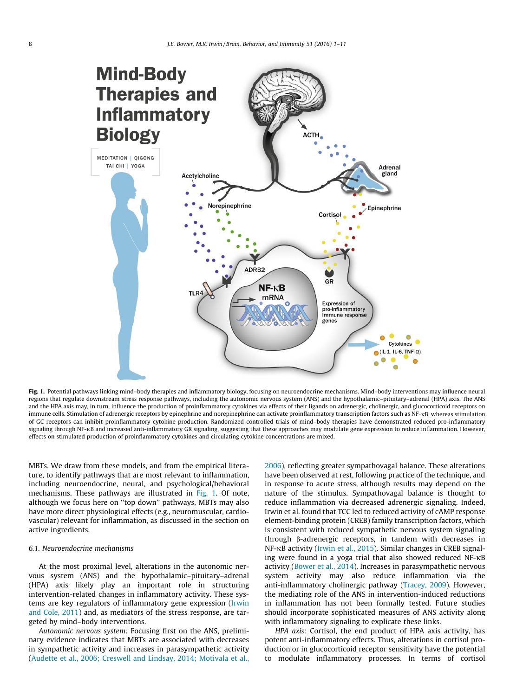

Fig. 1. Potential pathways linking mind-body therapies and inflammatory biology, focusing on neuroendocrine mechanisms. Mind-body interventions may influence neural regions that regulate downstream stress response pathways, including the autonomic nervous system (ANS) and the hypothalamic–pituitary–adrenal (HPA) axis. The ANS and the HPA axis may, in turn, influence the production of proinflammatory cytokines via effects of their ligands on adrenergic, cholinergic, and glucocorticoid receptors on immune cells. Stimulation of adrenergic receptors by epinephrine and norepinephrine can activate proinflammatory transcription factors such as NF-KB, whereas stimulation of GC receptors can inhibit proinflammatory cytokine production. Randomized controlled trials of mind–body therapies have demonstrated reduced pro-inflammatory signaling through NF-KB and increased anti-inflammatory GR signaling, suggesting that these approaches may modulate gene expression to reduce inflammation. However, effects on stimulated production of proinflammatory cytokines and circulating cytokine concentrations are mixed.

MBTs. We draw from these models, and from the empirical literature, to identify pathways that are most relevant to inflammation, including neuroendocrine, neural, and psychological/behavioral mechanisms. These pathways are illustrated in Fig. 1. Of note, although we focus here on ''top down'' pathways, MBTs may also have more direct physiological effects (e.g., neuromuscular, cardiovascular) relevant for inflammation, as discussed in the section on active ingredients.

#### 6.1. Neuroendocrine mechanisms

At the most proximal level, alterations in the autonomic nervous system (ANS) and the hypothalamic–pituitary–adrenal (HPA) axis likely play an important role in structuring intervention-related changes in inflammatory activity. These systems are key regulators of inflammatory gene expression (Irwin and Cole, 2011) and, as mediators of the stress response, are targeted by mind–body interventions.

Autonomic nervous system: Focusing first on the ANS, preliminary evidence indicates that MBTs are associated with decreases in sympathetic activity and increases in parasympathetic activity (Audette et al., 2006; Creswell and Lindsay, 2014; Motivala et al., 2006), reflecting greater sympathovagal balance. These alterations have been observed at rest, following practice of the technique, and in response to acute stress, although results may depend on the nature of the stimulus. Sympathovagal balance is thought to reduce inflammation via decreased adrenergic signaling. Indeed, Irwin et al. found that TCC led to reduced activity of cAMP response element-binding protein (CREB) family transcription factors, which is consistent with reduced sympathetic nervous system signaling through  $\beta$ -adrenergic receptors, in tandem with decreases in NF-KB activity (Irwin et al., 2015). Similar changes in CREB signaling were found in a yoga trial that also showed reduced  $NF$ - $KB$ activity (Bower et al., 2014). Increases in parasympathetic nervous system activity may also reduce inflammation via the anti-inflammatory cholinergic pathway (Tracey, 2009). However, the mediating role of the ANS in intervention-induced reductions in inflammation has not been formally tested. Future studies should incorporate sophisticated measures of ANS activity along with inflammatory signaling to explicate these links.

HPA axis: Cortisol, the end product of HPA axis activity, has potent anti-inflammatory effects. Thus, alterations in cortisol production or in glucocorticoid receptor sensitivity have the potential to modulate inflammatory processes. In terms of cortisol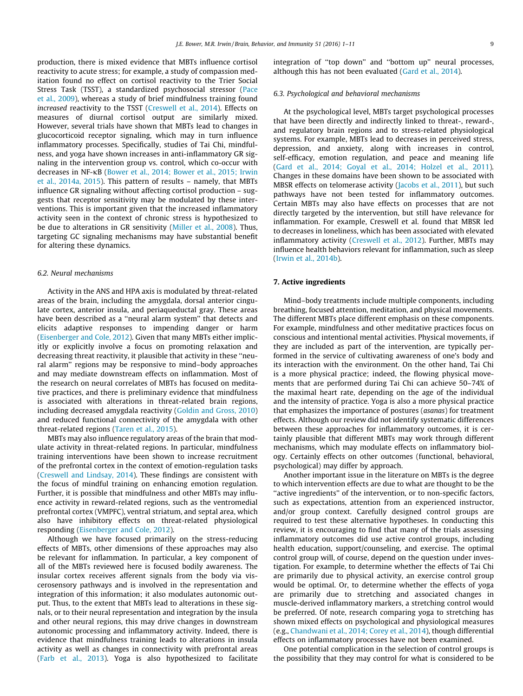production, there is mixed evidence that MBTs influence cortisol reactivity to acute stress; for example, a study of compassion meditation found no effect on cortisol reactivity to the Trier Social Stress Task (TSST), a standardized psychosocial stressor (Pace et al., 2009), whereas a study of brief mindfulness training found increased reactivity to the TSST (Creswell et al., 2014). Effects on measures of diurnal cortisol output are similarly mixed. However, several trials have shown that MBTs lead to changes in glucocorticoid receptor signaling, which may in turn influence inflammatory processes. Specifically, studies of Tai Chi, mindfulness, and yoga have shown increases in anti-inflammatory GR signaling in the intervention group vs. control, which co-occur with decreases in NF-KB (Bower et al., 2014; Bower et al., 2015; Irwin et al., 2014a, 2015). This pattern of results – namely, that MBTs influence GR signaling without affecting cortisol production – suggests that receptor sensitivity may be modulated by these interventions. This is important given that the increased inflammatory activity seen in the context of chronic stress is hypothesized to be due to alterations in GR sensitivity (Miller et al., 2008). Thus, targeting GC signaling mechanisms may have substantial benefit for altering these dynamics.

#### 6.2. Neural mechanisms

Activity in the ANS and HPA axis is modulated by threat-related areas of the brain, including the amygdala, dorsal anterior cingulate cortex, anterior insula, and periaqueductal gray. These areas have been described as a ''neural alarm system'' that detects and elicits adaptive responses to impending danger or harm (Eisenberger and Cole, 2012). Given that many MBTs either implicitly or explicitly involve a focus on promoting relaxation and decreasing threat reactivity, it plausible that activity in these ''neural alarm'' regions may be responsive to mind–body approaches and may mediate downstream effects on inflammation. Most of the research on neural correlates of MBTs has focused on meditative practices, and there is preliminary evidence that mindfulness is associated with alterations in threat-related brain regions, including decreased amygdala reactivity (Goldin and Gross, 2010) and reduced functional connectivity of the amygdala with other threat-related regions (Taren et al., 2015).

MBTs may also influence regulatory areas of the brain that modulate activity in threat-related regions. In particular, mindfulness training interventions have been shown to increase recruitment of the prefrontal cortex in the context of emotion-regulation tasks (Creswell and Lindsay, 2014). These findings are consistent with the focus of mindful training on enhancing emotion regulation. Further, it is possible that mindfulness and other MBTs may influence activity in reward-related regions, such as the ventromedial prefrontal cortex (VMPFC), ventral striatum, and septal area, which also have inhibitory effects on threat-related physiological responding (Eisenberger and Cole, 2012).

Although we have focused primarily on the stress-reducing effects of MBTs, other dimensions of these approaches may also be relevant for inflammation. In particular, a key component of all of the MBTs reviewed here is focused bodily awareness. The insular cortex receives afferent signals from the body via viscerosensory pathways and is involved in the representation and integration of this information; it also modulates autonomic output. Thus, to the extent that MBTs lead to alterations in these signals, or to their neural representation and integration by the insula and other neural regions, this may drive changes in downstream autonomic processing and inflammatory activity. Indeed, there is evidence that mindfulness training leads to alterations in insula activity as well as changes in connectivity with prefrontal areas (Farb et al., 2013). Yoga is also hypothesized to facilitate integration of ''top down'' and ''bottom up'' neural processes, although this has not been evaluated (Gard et al., 2014).

#### 6.3. Psychological and behavioral mechanisms

At the psychological level, MBTs target psychological processes that have been directly and indirectly linked to threat-, reward-, and regulatory brain regions and to stress-related physiological systems. For example, MBTs lead to decreases in perceived stress, depression, and anxiety, along with increases in control, self-efficacy, emotion regulation, and peace and meaning life (Gard et al., 2014; Goyal et al., 2014; Holzel et al., 2011). Changes in these domains have been shown to be associated with MBSR effects on telomerase activity (Jacobs et al., 2011), but such pathways have not been tested for inflammatory outcomes. Certain MBTs may also have effects on processes that are not directly targeted by the intervention, but still have relevance for inflammation. For example, Creswell et al. found that MBSR led to decreases in loneliness, which has been associated with elevated inflammatory activity (Creswell et al., 2012). Further, MBTs may influence health behaviors relevant for inflammation, such as sleep (Irwin et al., 2014b).

#### 7. Active ingredients

Mind–body treatments include multiple components, including breathing, focused attention, meditation, and physical movements. The different MBTs place different emphasis on these components. For example, mindfulness and other meditative practices focus on conscious and intentional mental activities. Physical movements, if they are included as part of the intervention, are typically performed in the service of cultivating awareness of one's body and its interaction with the environment. On the other hand, Tai Chi is a more physical practice; indeed, the flowing physical movements that are performed during Tai Chi can achieve 50–74% of the maximal heart rate, depending on the age of the individual and the intensity of practice. Yoga is also a more physical practice that emphasizes the importance of postures (asanas) for treatment effects. Although our review did not identify systematic differences between these approaches for inflammatory outcomes, it is certainly plausible that different MBTs may work through different mechanisms, which may modulate effects on inflammatory biology. Certainly effects on other outcomes (functional, behavioral, psychological) may differ by approach.

Another important issue in the literature on MBTs is the degree to which intervention effects are due to what are thought to be the ''active ingredients'' of the intervention, or to non-specific factors, such as expectations, attention from an experienced instructor, and/or group context. Carefully designed control groups are required to test these alternative hypotheses. In conducting this review, it is encouraging to find that many of the trials assessing inflammatory outcomes did use active control groups, including health education, support/counseling, and exercise. The optimal control group will, of course, depend on the question under investigation. For example, to determine whether the effects of Tai Chi are primarily due to physical activity, an exercise control group would be optimal. Or, to determine whether the effects of yoga are primarily due to stretching and associated changes in muscle-derived inflammatory markers, a stretching control would be preferred. Of note, research comparing yoga to stretching has shown mixed effects on psychological and physiological measures (e.g., Chandwani et al., 2014; Corey et al., 2014), though differential effects on inflammatory processes have not been examined.

One potential complication in the selection of control groups is the possibility that they may control for what is considered to be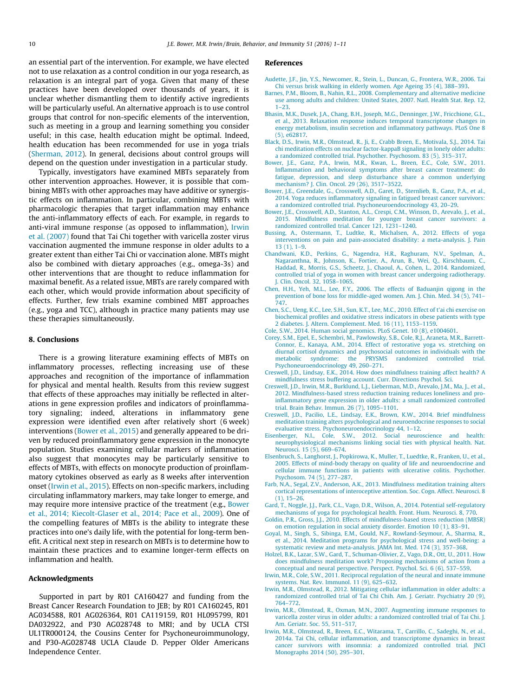an essential part of the intervention. For example, we have elected not to use relaxation as a control condition in our yoga research, as relaxation is an integral part of yoga. Given that many of these practices have been developed over thousands of years, it is unclear whether dismantling them to identify active ingredients will be particularly useful. An alternative approach is to use control groups that control for non-specific elements of the intervention, such as meeting in a group and learning something you consider useful; in this case, health education might be optimal. Indeed, health education has been recommended for use in yoga trials (Sherman, 2012). In general, decisions about control groups will depend on the question under investigation in a particular study.

Typically, investigators have examined MBTs separately from other intervention approaches. However, it is possible that combining MBTs with other approaches may have additive or synergistic effects on inflammation. In particular, combining MBTs with pharmacologic therapies that target inflammation may enhance the anti-inflammatory effects of each. For example, in regards to anti-viral immune response (as opposed to inflammation), Irwin et al. (2007) found that Tai Chi together with varicella zoster virus vaccination augmented the immune response in older adults to a greater extent than either Tai Chi or vaccination alone. MBTs might also be combined with dietary approaches (e.g., omega-3s) and other interventions that are thought to reduce inflammation for maximal benefit. As a related issue, MBTs are rarely compared with each other, which would provide information about specificity of effects. Further, few trials examine combined MBT approaches (e.g., yoga and TCC), although in practice many patients may use these therapies simultaneously.

#### 8. Conclusions

There is a growing literature examining effects of MBTs on inflammatory processes, reflecting increasing use of these approaches and recognition of the importance of inflammation for physical and mental health. Results from this review suggest that effects of these approaches may initially be reflected in alterations in gene expression profiles and indicators of proinflammatory signaling; indeed, alterations in inflammatory gene expression were identified even after relatively short (6 week) interventions (Bower et al., 2015) and generally appeared to be driven by reduced proinflammatory gene expression in the monocyte population. Studies examining cellular markers of inflammation also suggest that monocytes may be particularly sensitive to effects of MBTs, with effects on monocyte production of proinflammatory cytokines observed as early as 8 weeks after intervention onset (Irwin et al., 2015). Effects on non-specific markers, including circulating inflammatory markers, may take longer to emerge, and may require more intensive practice of the treatment (e.g., Bower et al., 2014; Kiecolt-Glaser et al., 2014; Pace et al., 2009). One of the compelling features of MBTs is the ability to integrate these practices into one's daily life, with the potential for long-term benefit. A critical next step in research on MBTs is to determine how to maintain these practices and to examine longer-term effects on inflammation and health.

#### Acknowledgments

Supported in part by R01 CA160427 and funding from the Breast Cancer Research Foundation to JEB; by R01 CA160245, R01 AG034588, R01 AG026364, R01 CA119159, R01 HL095799, R01 DA032922, and P30 AG028748 to MRI; and by UCLA CTSI UL1TR000124, the Cousins Center for Psychoneuroimmunology, and P30-AG028748 UCLA Claude D. Pepper Older Americans Independence Center.

#### References

- Audette, J.F., Jin, Y.S., Newcomer, R., Stein, L., Duncan, G., Frontera, W.R., 2006. Tai Chi versus brisk walking in elderly women. Age Ageing 35 (4), 388–393.
- Barnes, P.M., Bloom, B., Nahin, R.L., 2008. Complementary and alternative medicine use among adults and children: United States, 2007. Natl. Health Stat. Rep. 12, 1–23.
- Bhasin, M.K., Dusek, J.A., Chang, B.H., Joseph, M.G., Denninger, J.W., Fricchione, G.L., et al., 2013. Relaxation response induces temporal transcriptome changes in energy metabolism, insulin secretion and inflammatory pathways. PLoS One 8 (5), e62817.
- Black, D.S., Irwin, M.R., Olmstead, R., Ji, E., Crabb Breen, E., Motivala, S.J., 2014. Tai chi meditation effects on nuclear factor-kappaB signaling in lonely older adults: a randomized controlled trial. Psychother. Psychosom. 83 (5), 315–317.
- Bower, J.E., Ganz, P.A., Irwin, M.R., Kwan, L., Breen, E.C., Cole, S.W., 2011. Inflammation and behavioral symptoms after breast cancer treatment: do fatigue, depression, and sleep disturbance share a common underlying mechanism? J. Clin. Oncol. 29 (26), 3517–3522.
- Bower, J.E., Greendale, G., Crosswell, A.D., Garet, D., Sternlieb, B., Ganz, P.A., et al., 2014. Yoga reduces inflammatory signaling in fatigued breast cancer survivors: a randomized controlled trial. Psychoneuroendocrinology 43, 20–29.
- Bower, J.E., Crosswell, A.D., Stanton, A.L., Crespi, C.M., Winson, D., Arevalo, J., et al., 2015. Mindfulness meditation for younger breast cancer survivors: a randomized controlled trial. Cancer 121, 1231–1240.
- Bussing, A., Ostermann, T., Ludtke, R., Michalsen, A., 2012. Effects of yoga interventions on pain and pain-associated disability: a meta-analysis. J. Pain 13 (1), 1–9.
- Chandwani, K.D., Perkins, G., Nagendra, H.R., Raghuram, N.V., Spelman, A., Nagaranthna, R., Johnson, K., Fortier, A., Arun, B., Wei, Q., Kirschbaum, C., Haddad, R., Morris, G.S., Scheetz, J., Chaoul, A., Cohen, L., 2014. Randomized, controlled trial of yoga in women with breast cancer undergoing radiotherapy. J. Clin. Oncol. 32, 1058–1065.
- Chen, H.H., Yeh, M.L., Lee, F.Y., 2006. The effects of Baduanjin qigong in the prevention of bone loss for middle-aged women. Am. J. Chin. Med. 34 (5), 741– 747.
- Chen, S.C., Ueng, K.C., Lee, S.H., Sun, K.T., Lee, M.C., 2010. Effect of t'ai chi exercise on biochemical profiles and oxidative stress indicators in obese patients with type 2 diabetes. J. Altern. Complement. Med. 16 (11), 1153–1159.
- Cole, S.W., 2014. Human social genomics. PLoS Genet. 10 (8), e1004601.
- Corey, S.M., Epel, E., Schembri, M., Pawlowsky, S.B., Cole, R.J., Araneta, M.R., Barrett-Connor, E., Kanaya, A.M., 2014. Effect of restorative yoga vs. stretching on diurnal cortisol dynamics and psychosocial outcomes in individuals with the metabolic syndrome: the PRYSMS randomized controlled trial. Psychoneuroendocrinology 49, 260–271.
- Creswell, J.D., Lindsay, E.K., 2014. How does mindfulness training affect health? A mindfulness stress buffering account. Curr. Directions Psychol. Sci.
- Creswell, J.D., Irwin, M.R., Burklund, L.J., Lieberman, M.D., Arevalo, J.M., Ma, J., et al., 2012. Mindfulness-based stress reduction training reduces loneliness and proinflammatory gene expression in older adults: a small randomized controlled trial. Brain Behav. Immun. 26 (7), 1095–1101.
- Creswell, J.D., Pacilio, L.E., Lindsay, E.K., Brown, K.W., 2014. Brief mindfulness meditation training alters psychological and neuroendocrine responses to social evaluative stress. Psychoneuroendocrinology 44, 1–12.
- Eisenberger, N.I., Cole, S.W., 2012. Social neuroscience and health: neurophysiological mechanisms linking social ties with physical health. Nat. Neurosci. 15 (5), 669–674.
- Elsenbruch, S., Langhorst, J., Popkirowa, K., Muller, T., Luedtke, R., Franken, U., et al., 2005. Effects of mind-body therapy on quality of life and neuroendocrine and cellular immune functions in patients with ulcerative colitis. Psychother. Psychosom. 74 (5), 277–287.
- Farb, N.A., Segal, Z.V., Anderson, A.K., 2013. Mindfulness meditation training alters cortical representations of interoceptive attention. Soc. Cogn. Affect. Neurosci. 8 (1), 15–26.
- Gard, T., Noggle, J.J., Park, C.L., Vago, D.R., Wilson, A., 2014. Potential self-regulatory mechanisms of yoga for psychological health. Front. Hum. Neurosci. 8, 770.
- Goldin, P.R., Gross, J.J., 2010. Effects of mindfulness-based stress reduction (MBSR) on emotion regulation in social anxiety disorder. Emotion 10 (1), 83–91.
- Goyal, M., Singh, S., Sibinga, E.M., Gould, N.F., Rowland-Seymour, A., Sharma, R., et al., 2014. Meditation programs for psychological stress and well-being: a systematic review and meta-analysis. JAMA Int. Med. 174 (3), 357–368.
- Holzel, B.K., Lazar, S.W., Gard, T., Schuman-Olivier, Z., Vago, D.R., Ott, U., 2011. How does mindfulness meditation work? Proposing mechanisms of action from a conceptual and neural perspective. Perspect. Psychol. Sci. 6 (6), 537–559.
- Irwin, M.R., Cole, S.W., 2011. Reciprocal regulation of the neural and innate immune systems. Nat. Rev. Immunol. 11 (9), 625–632.
- Irwin, M.R., Olmstead, R., 2012. Mitigating cellular inflammation in older adults: a randomized controlled trial of Tai Chi Chih. Am. J. Geriatr. Psychiatry 20 (9), 764–772.
- Irwin, M.R., Olmstead, R., Oxman, M.N., 2007. Augmenting immune responses to varicella zoster virus in older adults: a randomized controlled trial of Tai Chi. J. Am. Geriatr. Soc. 55, 511–517.
- Irwin, M.R., Olmstead, R., Breen, E.C., Witarama, T., Carrillo, C., Sadeghi, N., et al., 2014a. Tai Chi, cellular inflammation, and transcriptome dynamics in breast cancer survivors with insomnia: a randomized controlled trial. JNCI Monographs 2014 (50), 295–301.